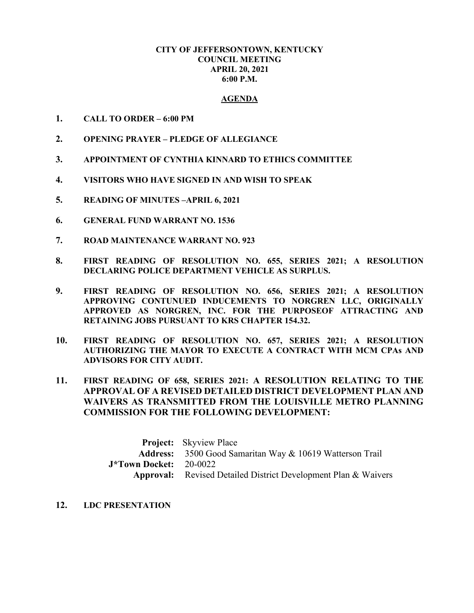## **CITY OF JEFFERSONTOWN, KENTUCKY COUNCIL MEETING APRIL 20, 2021 6:00 P.M.**

## **AGENDA**

- **1. CALL TO ORDER – 6:00 PM**
- **2. OPENING PRAYER – PLEDGE OF ALLEGIANCE**
- **3. APPOINTMENT OF CYNTHIA KINNARD TO ETHICS COMMITTEE**
- **4. VISITORS WHO HAVE SIGNED IN AND WISH TO SPEAK**
- **5. READING OF MINUTES –APRIL 6, 2021**
- **6. GENERAL FUND WARRANT NO. 1536**
- **7. ROAD MAINTENANCE WARRANT NO. 923**
- **8. FIRST READING OF RESOLUTION NO. 655, SERIES 2021; A RESOLUTION DECLARING POLICE DEPARTMENT VEHICLE AS SURPLUS.**
- **9. FIRST READING OF RESOLUTION NO. 656, SERIES 2021; A RESOLUTION APPROVING CONTUNUED INDUCEMENTS TO NORGREN LLC, ORIGINALLY APPROVED AS NORGREN, INC. FOR THE PURPOSEOF ATTRACTING AND RETAINING JOBS PURSUANT TO KRS CHAPTER 154.32.**
- **10. FIRST READING OF RESOLUTION NO. 657, SERIES 2021; A RESOLUTION AUTHORIZING THE MAYOR TO EXECUTE A CONTRACT WITH MCM CPAs AND ADVISORS FOR CITY AUDIT.**
- **11. FIRST READING OF 658, SERIES 2021: A RESOLUTION RELATING TO THE APPROVAL OF A REVISED DETAILED DISTRICT DEVELOPMENT PLAN AND WAIVERS AS TRANSMITTED FROM THE LOUISVILLE METRO PLANNING COMMISSION FOR THE FOLLOWING DEVELOPMENT:**

|                            | <b>Project:</b> Skyview Place                                         |
|----------------------------|-----------------------------------------------------------------------|
|                            | <b>Address:</b> 3500 Good Samaritan Way & 10619 Watterson Trail       |
| $J^*$ Town Docket: 20-0022 |                                                                       |
|                            | <b>Approval:</b> Revised Detailed District Development Plan & Waivers |

**12. LDC PRESENTATION**